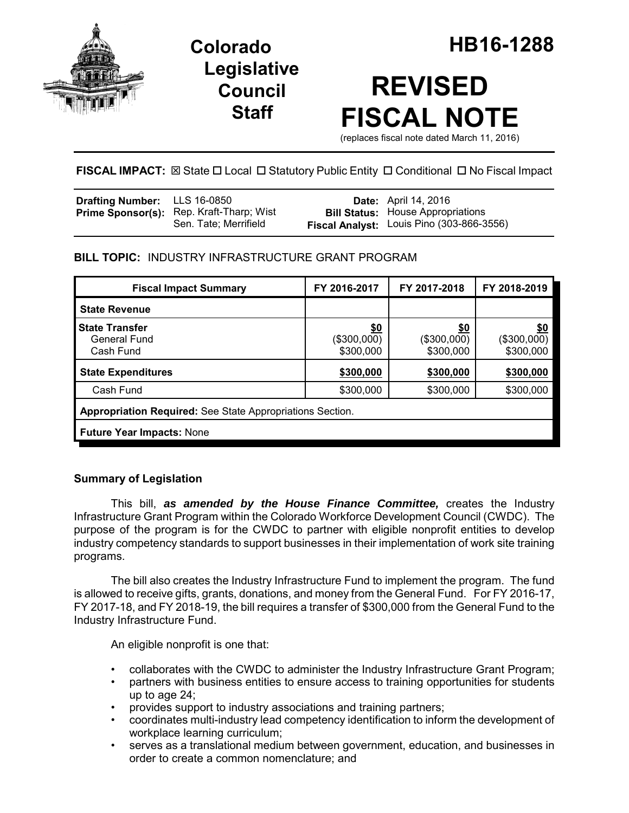

**Legislative Council Staff**

# **REVISED FISCAL NOTE**

(replaces fiscal note dated March 11, 2016)

**FISCAL IMPACT:**  $\boxtimes$  State  $\Box$  Local  $\Box$  Statutory Public Entity  $\Box$  Conditional  $\Box$  No Fiscal Impact

| <b>Drafting Number:</b> LLS 16-0850 |                                                                          | <b>Date:</b> April 14, 2016                                                                  |
|-------------------------------------|--------------------------------------------------------------------------|----------------------------------------------------------------------------------------------|
|                                     | <b>Prime Sponsor(s):</b> Rep. Kraft-Tharp; Wist<br>Sen. Tate: Merrifield | <b>Bill Status:</b> House Appropriations<br><b>Fiscal Analyst:</b> Louis Pino (303-866-3556) |

# **BILL TOPIC:** INDUSTRY INFRASTRUCTURE GRANT PROGRAM

| <b>Fiscal Impact Summary</b>                              | FY 2016-2017                    | FY 2017-2018                           | FY 2018-2019                           |  |  |
|-----------------------------------------------------------|---------------------------------|----------------------------------------|----------------------------------------|--|--|
| <b>State Revenue</b>                                      |                                 |                                        |                                        |  |  |
| <b>State Transfer</b><br>General Fund<br>Cash Fund        | \$0<br>(\$300,000)<br>\$300,000 | <u>\$0</u><br>(\$300,000)<br>\$300,000 | <u>\$0</u><br>(\$300,000)<br>\$300,000 |  |  |
| <b>State Expenditures</b>                                 | \$300,000                       | \$300,000                              | \$300,000                              |  |  |
| Cash Fund                                                 | \$300,000                       | \$300,000                              | \$300,000                              |  |  |
| Appropriation Required: See State Appropriations Section. |                                 |                                        |                                        |  |  |
| <b>Future Year Impacts: None</b>                          |                                 |                                        |                                        |  |  |

# **Summary of Legislation**

This bill, *as amended by the House Finance Committee,* creates the Industry Infrastructure Grant Program within the Colorado Workforce Development Council (CWDC). The purpose of the program is for the CWDC to partner with eligible nonprofit entities to develop industry competency standards to support businesses in their implementation of work site training programs.

The bill also creates the Industry Infrastructure Fund to implement the program. The fund is allowed to receive gifts, grants, donations, and money from the General Fund. For FY 2016-17, FY 2017-18, and FY 2018-19, the bill requires a transfer of \$300,000 from the General Fund to the Industry Infrastructure Fund.

An eligible nonprofit is one that:

- collaborates with the CWDC to administer the Industry Infrastructure Grant Program;
- partners with business entities to ensure access to training opportunities for students up to age 24;
- provides support to industry associations and training partners;
- coordinates multi-industry lead competency identification to inform the development of workplace learning curriculum;
- serves as a translational medium between government, education, and businesses in order to create a common nomenclature; and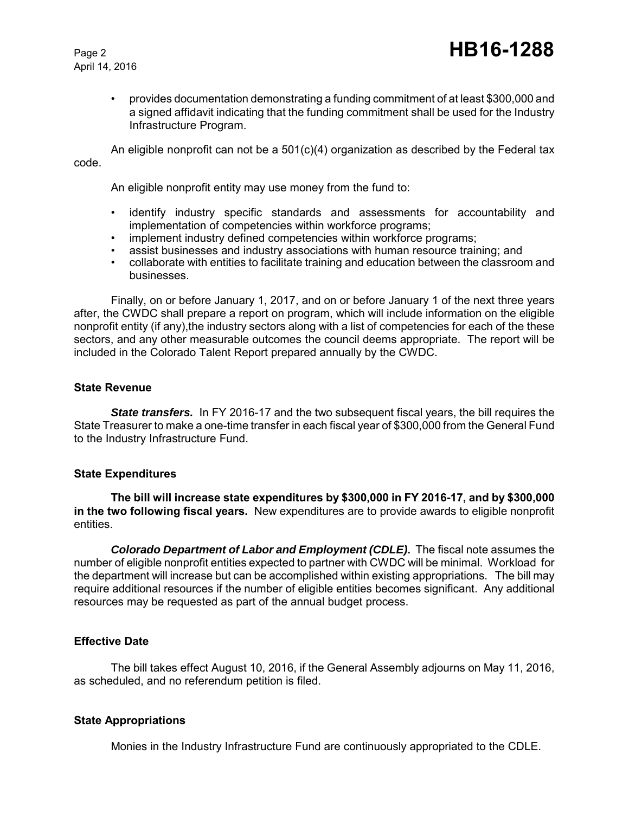April 14, 2016

• provides documentation demonstrating a funding commitment of at least \$300,000 and a signed affidavit indicating that the funding commitment shall be used for the Industry Infrastructure Program.

An eligible nonprofit can not be a  $501(c)(4)$  organization as described by the Federal tax code.

An eligible nonprofit entity may use money from the fund to:

- identify industry specific standards and assessments for accountability and implementation of competencies within workforce programs;
- implement industry defined competencies within workforce programs;
- assist businesses and industry associations with human resource training; and
- collaborate with entities to facilitate training and education between the classroom and businesses.

Finally, on or before January 1, 2017, and on or before January 1 of the next three years after, the CWDC shall prepare a report on program, which will include information on the eligible nonprofit entity (if any), the industry sectors along with a list of competencies for each of the these sectors, and any other measurable outcomes the council deems appropriate. The report will be included in the Colorado Talent Report prepared annually by the CWDC.

#### **State Revenue**

**State transfers.** In FY 2016-17 and the two subsequent fiscal years, the bill requires the State Treasurer to make a one-time transfer in each fiscal year of \$300,000 from the General Fund to the Industry Infrastructure Fund.

## **State Expenditures**

**The bill will increase state expenditures by \$300,000 in FY 2016-17, and by \$300,000 in the two following fiscal years.** New expenditures are to provide awards to eligible nonprofit entities.

*Colorado Department of Labor and Employment (CDLE)***.** The fiscal note assumes the number of eligible nonprofit entities expected to partner with CWDC will be minimal. Workload for the department will increase but can be accomplished within existing appropriations. The bill may require additional resources if the number of eligible entities becomes significant. Any additional resources may be requested as part of the annual budget process.

## **Effective Date**

The bill takes effect August 10, 2016, if the General Assembly adjourns on May 11, 2016, as scheduled, and no referendum petition is filed.

## **State Appropriations**

Monies in the Industry Infrastructure Fund are continuously appropriated to the CDLE.